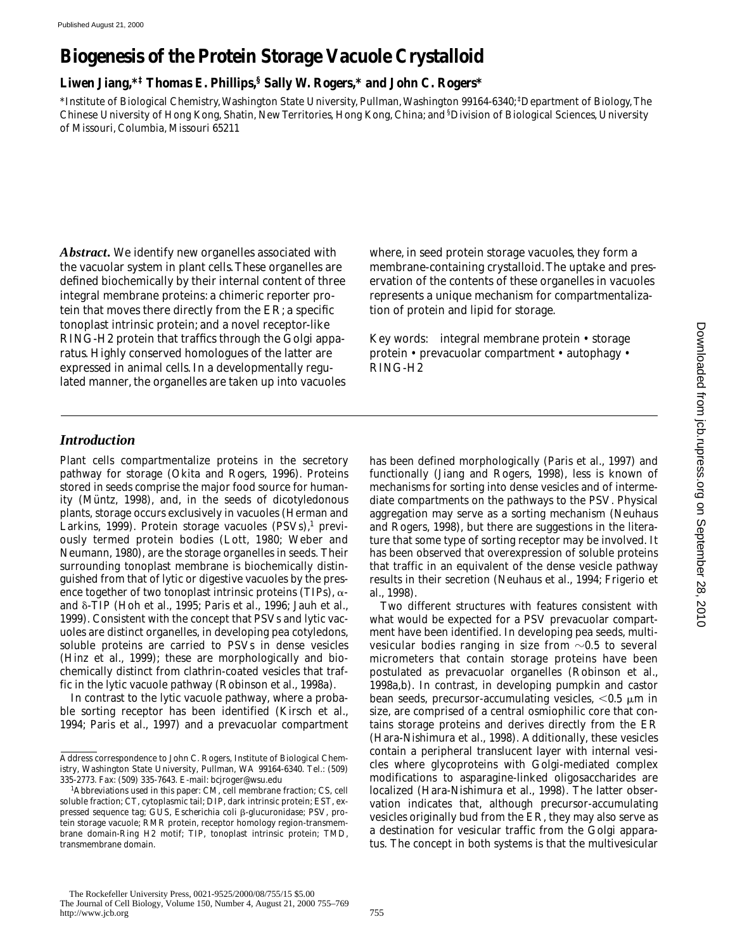# **Biogenesis of the Protein Storage Vacuole Crystalloid**

**Liwen Jiang,\*‡ Thomas E. Phillips,§ Sally W. Rogers,\* and John C. Rogers\***

\*Institute of Biological Chemistry, Washington State University, Pullman, Washington 99164-6340; ‡ Department of Biology, The Chinese University of Hong Kong, Shatin, New Territories, Hong Kong, China; and § Division of Biological Sciences, University of Missouri, Columbia, Missouri 65211

*Abstract.* We identify new organelles associated with the vacuolar system in plant cells. These organelles are defined biochemically by their internal content of three integral membrane proteins: a chimeric reporter protein that moves there directly from the ER; a specific tonoplast intrinsic protein; and a novel receptor-like RING-H2 protein that traffics through the Golgi apparatus. Highly conserved homologues of the latter are expressed in animal cells. In a developmentally regulated manner, the organelles are taken up into vacuoles

where, in seed protein storage vacuoles, they form a membrane-containing crystalloid. The uptake and preservation of the contents of these organelles in vacuoles represents a unique mechanism for compartmentalization of protein and lipid for storage.

Key words: integral membrane protein • storage protein • prevacuolar compartment • autophagy • RING-H2

## *Introduction*

Plant cells compartmentalize proteins in the secretory pathway for storage (Okita and Rogers, 1996). Proteins stored in seeds comprise the major food source for humanity (Müntz, 1998), and, in the seeds of dicotyledonous plants, storage occurs exclusively in vacuoles (Herman and Larkins, 1999). Protein storage vacuoles (PSVs),<sup>1</sup> previously termed protein bodies (Lott, 1980; Weber and Neumann, 1980), are the storage organelles in seeds. Their surrounding tonoplast membrane is biochemically distinguished from that of lytic or digestive vacuoles by the presence together of two tonoplast intrinsic proteins (TIPs),  $\alpha$ and  $\delta$ -TIP (Hoh et al., 1995; Paris et al., 1996; Jauh et al., 1999). Consistent with the concept that PSVs and lytic vacuoles are distinct organelles, in developing pea cotyledons, soluble proteins are carried to PSVs in dense vesicles (Hinz et al., 1999); these are morphologically and biochemically distinct from clathrin-coated vesicles that traffic in the lytic vacuole pathway (Robinson et al., 1998a).

In contrast to the lytic vacuole pathway, where a probable sorting receptor has been identified (Kirsch et al., 1994; Paris et al., 1997) and a prevacuolar compartment has been defined morphologically (Paris et al., 1997) and functionally (Jiang and Rogers, 1998), less is known of mechanisms for sorting into dense vesicles and of intermediate compartments on the pathways to the PSV. Physical aggregation may serve as a sorting mechanism (Neuhaus and Rogers, 1998), but there are suggestions in the literature that some type of sorting receptor may be involved. It has been observed that overexpression of soluble proteins that traffic in an equivalent of the dense vesicle pathway results in their secretion (Neuhaus et al., 1994; Frigerio et al., 1998).

Two different structures with features consistent with what would be expected for a PSV prevacuolar compartment have been identified. In developing pea seeds, multivesicular bodies ranging in size from  $\sim 0.5$  to several micrometers that contain storage proteins have been postulated as prevacuolar organelles (Robinson et al., 1998a,b). In contrast, in developing pumpkin and castor bean seeds, precursor-accumulating vesicles,  $< 0.5 \mu m$  in size, are comprised of a central osmiophilic core that contains storage proteins and derives directly from the ER (Hara-Nishimura et al., 1998). Additionally, these vesicles contain a peripheral translucent layer with internal vesicles where glycoproteins with Golgi-mediated complex modifications to asparagine-linked oligosaccharides are localized (Hara-Nishimura et al., 1998). The latter observation indicates that, although precursor-accumulating vesicles originally bud from the ER, they may also serve as a destination for vesicular traffic from the Golgi apparatus. The concept in both systems is that the multivesicular

Address correspondence to John C. Rogers, Institute of Biological Chemistry, Washington State University, Pullman, WA 99164-6340. Tel.: (509) 335-2773. Fax: (509) 335-7643. E-mail: bcjroger@wsu.edu

<sup>1</sup> *Abbreviations used in this paper:* CM, cell membrane fraction; CS, cell soluble fraction; CT, cytoplasmic tail; DIP, dark intrinsic protein; EST, expressed sequence tag; GUS, *Escherichia coli*  $\beta$ -glucuronidase; PSV, protein storage vacuole; RMR protein, receptor homology region-transmembrane domain-Ring H2 motif; TIP, tonoplast intrinsic protein; TMD, transmembrane domain.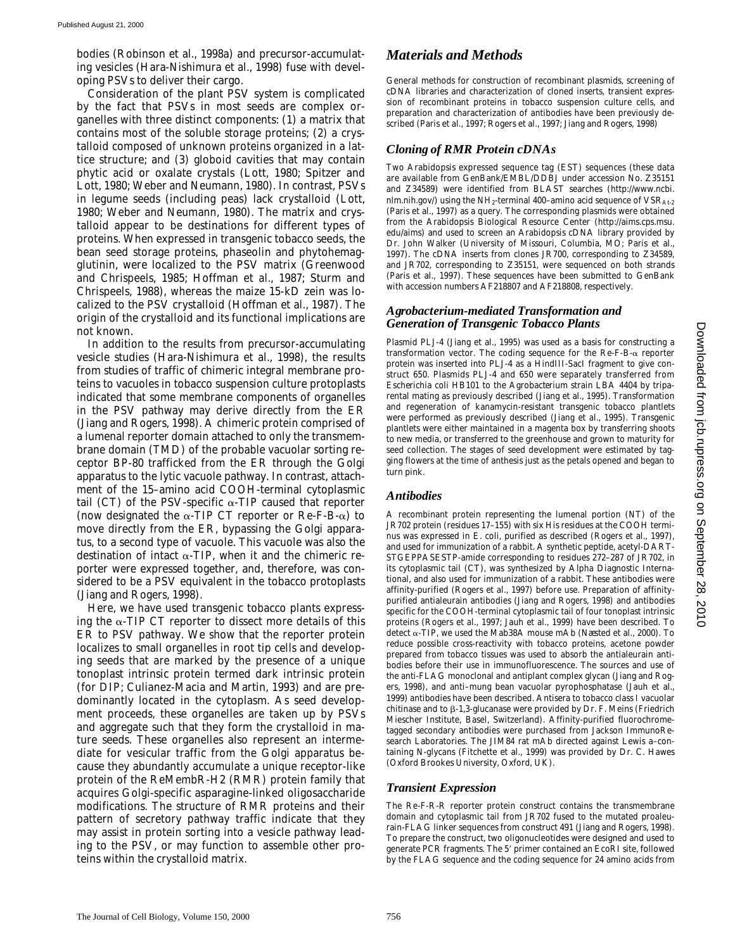bodies (Robinson et al., 1998a) and precursor-accumulating vesicles (Hara-Nishimura et al., 1998) fuse with developing PSVs to deliver their cargo.

Consideration of the plant PSV system is complicated by the fact that PSVs in most seeds are complex organelles with three distinct components: (1) a matrix that contains most of the soluble storage proteins; (2) a crystalloid composed of unknown proteins organized in a lattice structure; and (3) globoid cavities that may contain phytic acid or oxalate crystals (Lott, 1980; Spitzer and Lott, 1980; Weber and Neumann, 1980). In contrast, PSVs in legume seeds (including peas) lack crystalloid (Lott, 1980; Weber and Neumann, 1980). The matrix and crystalloid appear to be destinations for different types of proteins. When expressed in transgenic tobacco seeds, the bean seed storage proteins, phaseolin and phytohemagglutinin, were localized to the PSV matrix (Greenwood and Chrispeels, 1985; Hoffman et al., 1987; Sturm and Chrispeels, 1988), whereas the maize 15-kD zein was localized to the PSV crystalloid (Hoffman et al., 1987). The origin of the crystalloid and its functional implications are not known.

In addition to the results from precursor-accumulating vesicle studies (Hara-Nishimura et al., 1998), the results from studies of traffic of chimeric integral membrane proteins to vacuoles in tobacco suspension culture protoplasts indicated that some membrane components of organelles in the PSV pathway may derive directly from the ER (Jiang and Rogers, 1998). A chimeric protein comprised of a lumenal reporter domain attached to only the transmembrane domain (TMD) of the probable vacuolar sorting receptor BP-80 trafficked from the ER through the Golgi apparatus to the lytic vacuole pathway. In contrast, attachment of the 15–amino acid COOH-terminal cytoplasmic tail (CT) of the PSV-specific  $\alpha$ -TIP caused that reporter (now designated the  $\alpha$ -TIP CT reporter or Re-F-B- $\alpha$ ) to move directly from the ER, bypassing the Golgi apparatus, to a second type of vacuole. This vacuole was also the destination of intact  $\alpha$ -TIP, when it and the chimeric reporter were expressed together, and, therefore, was considered to be a PSV equivalent in the tobacco protoplasts (Jiang and Rogers, 1998).

Here, we have used transgenic tobacco plants expressing the  $\alpha$ -TIP CT reporter to dissect more details of this ER to PSV pathway. We show that the reporter protein localizes to small organelles in root tip cells and developing seeds that are marked by the presence of a unique tonoplast intrinsic protein termed dark intrinsic protein (for DIP; Culianez-Macia and Martin, 1993) and are predominantly located in the cytoplasm. As seed development proceeds, these organelles are taken up by PSVs and aggregate such that they form the crystalloid in mature seeds. These organelles also represent an intermediate for vesicular traffic from the Golgi apparatus because they abundantly accumulate a unique receptor-like protein of the ReMembR-H2 (RMR) protein family that acquires Golgi-specific asparagine-linked oligosaccharide modifications. The structure of RMR proteins and their pattern of secretory pathway traffic indicate that they may assist in protein sorting into a vesicle pathway leading to the PSV, or may function to assemble other proteins within the crystalloid matrix.

# *Materials and Methods*

General methods for construction of recombinant plasmids, screening of cDNA libraries and characterization of cloned inserts, transient expression of recombinant proteins in tobacco suspension culture cells, and preparation and characterization of antibodies have been previously described (Paris et al., 1997; Rogers et al., 1997; Jiang and Rogers, 1998)

### *Cloning of RMR Protein cDNAs*

Two *Arabidopsis* expressed sequence tag (EST) sequences (these data are available from GenBank/EMBL/DDBJ under accession No. Z35151 and Z34589) were identified from BLAST searches (http://www.ncbi. nlm.nih.gov/) using the NH<sub>2</sub>-terminal 400–amino acid sequence of  $VSR<sub>At-2</sub>$ (Paris et al., 1997) as a query. The corresponding plasmids were obtained from the *Arabidopsis* Biological Resource Center (http://aims.cps.msu. edu/aims) and used to screen an *Arabidopsis* cDNA library provided by Dr. John Walker (University of Missouri, Columbia, MO; Paris et al., 1997). The cDNA inserts from clones JR700, corresponding to Z34589, and JR702, corresponding to Z35151, were sequenced on both strands (Paris et al., 1997). These sequences have been submitted to GenBank with accession numbers AF218807 and AF218808, respectively.

#### *Agrobacterium-mediated Transformation and Generation of Transgenic Tobacco Plants*

Plasmid PLJ-4 (Jiang et al., 1995) was used as a basis for constructing a transformation vector. The coding sequence for the  $\text{Re-F-B-}\alpha$  reporter protein was inserted into PLJ-4 as a HindIII-SacI fragment to give construct 650. Plasmids PLJ-4 and 650 were separately transferred from *Escherichia coli* HB101 to the *Agrobacterium* strain LBA 4404 by triparental mating as previously described (Jiang et al., 1995). Transformation and regeneration of kanamycin-resistant transgenic tobacco plantlets were performed as previously described (Jiang et al., 1995). Transgenic plantlets were either maintained in a magenta box by transferring shoots to new media, or transferred to the greenhouse and grown to maturity for seed collection. The stages of seed development were estimated by tagging flowers at the time of anthesis just as the petals opened and began to turn pink.

#### *Antibodies*

A recombinant protein representing the lumenal portion (NT) of the JR702 protein (residues 17–155) with six His residues at the COOH terminus was expressed in *E*. *coli*, purified as described (Rogers et al., 1997), and used for immunization of a rabbit. A synthetic peptide, acetyl-DART-STGEPPASESTP-amide corresponding to residues 272–287 of JR702, in its cytoplasmic tail (CT), was synthesized by Alpha Diagnostic International, and also used for immunization of a rabbit. These antibodies were affinity-purified (Rogers et al., 1997) before use. Preparation of affinitypurified antialeurain antibodies (Jiang and Rogers, 1998) and antibodies specific for the COOH-terminal cytoplasmic tail of four tonoplast intrinsic proteins (Rogers et al., 1997; Jauh et al., 1999) have been described. To detect  $\alpha$ -TIP, we used the Mab38A mouse mAb (Næsted et al., 2000). To reduce possible cross-reactivity with tobacco proteins, acetone powder prepared from tobacco tissues was used to absorb the antialeurain antibodies before their use in immunofluorescence. The sources and use of the anti-FLAG monoclonal and antiplant complex glycan (Jiang and Rogers, 1998), and anti–mung bean vacuolar pyrophosphatase (Jauh et al., 1999) antibodies have been described. Antisera to tobacco class I vacuolar chitinase and to  $\beta$ -1,3-glucanase were provided by Dr. F. Meins (Friedrich Miescher Institute, Basel, Switzerland). Affinity-purified fluorochrometagged secondary antibodies were purchased from Jackson ImmunoResearch Laboratories. The JIM84 rat mAb directed against Lewis a–containing N-glycans (Fitchette et al., 1999) was provided by Dr. C. Hawes (Oxford Brookes University, Oxford, UK).

#### *Transient Expression*

The Re-F-R-R reporter protein construct contains the transmembrane domain and cytoplasmic tail from JR702 fused to the mutated proaleurain-FLAG linker sequences from construct 491 (Jiang and Rogers, 1998). To prepare the construct, two oligonucleotides were designed and used to generate PCR fragments. The 5' primer contained an EcoRI site, followed by the FLAG sequence and the coding sequence for 24 amino acids from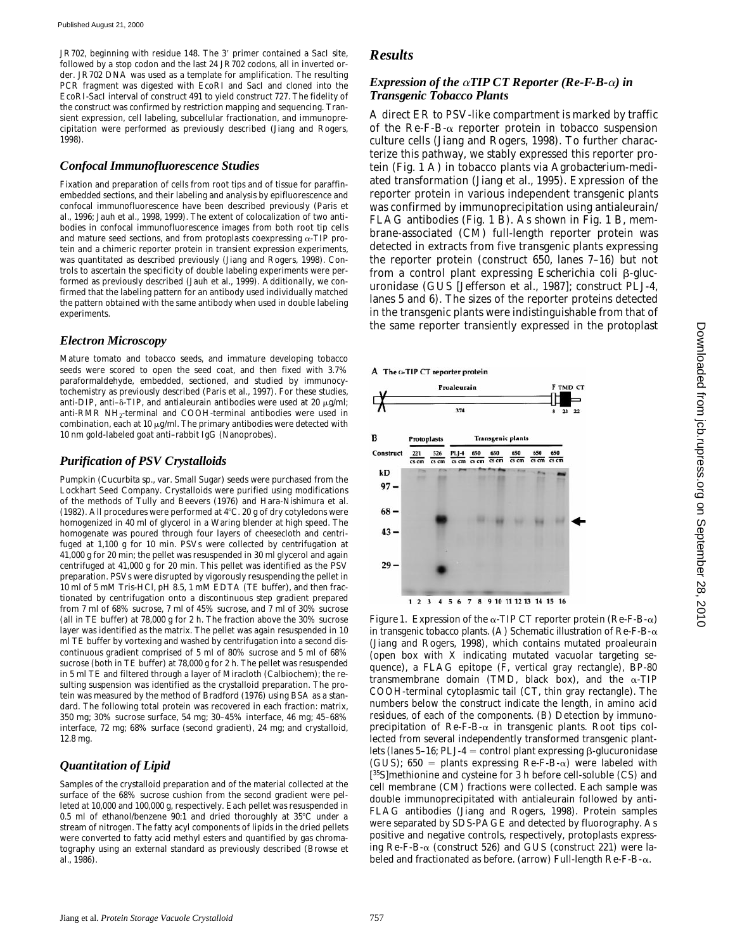JR702, beginning with residue 148. The 3' primer contained a SacI site, followed by a stop codon and the last 24 JR702 codons, all in inverted order. JR702 DNA was used as a template for amplification. The resulting PCR fragment was digested with EcoRI and SacI and cloned into the EcoRI-SacI interval of construct 491 to yield construct 727. The fidelity of the construct was confirmed by restriction mapping and sequencing. Transient expression, cell labeling, subcellular fractionation, and immunoprecipitation were performed as previously described (Jiang and Rogers, 1998).

#### *Confocal Immunofluorescence Studies*

Fixation and preparation of cells from root tips and of tissue for paraffinembedded sections, and their labeling and analysis by epifluorescence and confocal immunofluorescence have been described previously (Paris et al., 1996; Jauh et al., 1998, 1999). The extent of colocalization of two antibodies in confocal immunofluorescence images from both root tip cells and mature seed sections, and from protoplasts coexpressing  $\alpha$ -TIP protein and a chimeric reporter protein in transient expression experiments, was quantitated as described previously (Jiang and Rogers, 1998). Controls to ascertain the specificity of double labeling experiments were performed as previously described (Jauh et al., 1999). Additionally, we confirmed that the labeling pattern for an antibody used individually matched the pattern obtained with the same antibody when used in double labeling experiments.

#### *Electron Microscopy*

Mature tomato and tobacco seeds, and immature developing tobacco seeds were scored to open the seed coat, and then fixed with 3.7% paraformaldehyde, embedded, sectioned, and studied by immunocytochemistry as previously described (Paris et al., 1997). For these studies, anti-DIP, anti- $\delta$ -TIP, and antialeurain antibodies were used at 20  $\mu$ g/ml; anti-RMR NH2-terminal and COOH-terminal antibodies were used in combination, each at 10  $\mu$ g/ml. The primary antibodies were detected with 10 nm gold-labeled goat anti–rabbit IgG (Nanoprobes).

#### *Purification of PSV Crystalloids*

Pumpkin (*Cucurbita* sp., var. Small Sugar) seeds were purchased from the Lockhart Seed Company. Crystalloids were purified using modifications of the methods of Tully and Beevers (1976) and Hara-Nishimura et al. (1982). All procedures were performed at  $4^{\circ}$ C. 20 g of dry cotyledons were homogenized in 40 ml of glycerol in a Waring blender at high speed. The homogenate was poured through four layers of cheesecloth and centrifuged at 1,100 *g* for 10 min. PSVs were collected by centrifugation at 41,000 *g* for 20 min; the pellet was resuspended in 30 ml glycerol and again centrifuged at 41,000 *g* for 20 min. This pellet was identified as the PSV preparation. PSVs were disrupted by vigorously resuspending the pellet in 10 ml of 5 mM Tris-HCl, pH 8.5, 1 mM EDTA (TE buffer), and then fractionated by centrifugation onto a discontinuous step gradient prepared from 7 ml of 68% sucrose, 7 ml of 45% sucrose, and 7 ml of 30% sucrose (all in TE buffer) at 78,000 *g* for 2 h. The fraction above the 30% sucrose layer was identified as the matrix. The pellet was again resuspended in 10 ml TE buffer by vortexing and washed by centrifugation into a second discontinuous gradient comprised of 5 ml of 80% sucrose and 5 ml of 68% sucrose (both in TE buffer) at 78,000 *g* for 2 h. The pellet was resuspended in 5 ml TE and filtered through a layer of Miracloth (Calbiochem); the resulting suspension was identified as the crystalloid preparation. The protein was measured by the method of Bradford (1976) using BSA as a standard. The following total protein was recovered in each fraction: matrix, 350 mg; 30% sucrose surface, 54 mg; 30–45% interface, 46 mg; 45–68% interface, 72 mg; 68% surface (second gradient), 24 mg; and crystalloid, 12.8 mg.

#### *Quantitation of Lipid*

Samples of the crystalloid preparation and of the material collected at the surface of the 68% sucrose cushion from the second gradient were pelleted at 10,000 and 100,000 *g*, respectively. Each pellet was resuspended in 0.5 ml of ethanol/benzene  $90:1$  and dried thoroughly at  $35^{\circ}$ C under a stream of nitrogen. The fatty acyl components of lipids in the dried pellets were converted to fatty acid methyl esters and quantified by gas chromatography using an external standard as previously described (Browse et al., 1986).

# *Results*

#### *Expression of the*  $\alpha$ *TIP CT Reporter (Re-F-B-* $\alpha$ *) in Transgenic Tobacco Plants*

A direct ER to PSV-like compartment is marked by traffic of the Re-F-B- $\alpha$  reporter protein in tobacco suspension culture cells (Jiang and Rogers, 1998). To further characterize this pathway, we stably expressed this reporter protein (Fig. 1 A) in tobacco plants via *Agrobacterium*-mediated transformation (Jiang et al., 1995). Expression of the reporter protein in various independent transgenic plants was confirmed by immunoprecipitation using antialeurain/ FLAG antibodies (Fig. 1 B). As shown in Fig. 1 B, membrane-associated (CM) full-length reporter protein was detected in extracts from five transgenic plants expressing the reporter protein (construct 650, lanes 7–16) but not from a control plant expressing *Escherichia coli*  $\beta$ -glucuronidase (GUS [Jefferson et al., 1987]; construct PLJ-4, lanes 5 and 6). The sizes of the reporter proteins detected in the transgenic plants were indistinguishable from that of the same reporter transiently expressed in the protoplast





*Figure 1.* Expression of the  $\alpha$ -TIP CT reporter protein (Re-F-B- $\alpha$ ) in transgenic tobacco plants. (A) Schematic illustration of  $\mathrm{Re}\text{-}\mathrm{F}\text{-}\mathrm{B}\text{-}\alpha$ (Jiang and Rogers, 1998), which contains mutated proaleurain (open box with X indicating mutated vacuolar targeting sequence), a FLAG epitope (F, vertical gray rectangle), BP-80 transmembrane domain (TMD, black box), and the  $\alpha$ -TIP COOH-terminal cytoplasmic tail (CT, thin gray rectangle). The numbers below the construct indicate the length, in amino acid residues, of each of the components. (B) Detection by immunoprecipitation of Re-F-B- $\alpha$  in transgenic plants. Root tips collected from several independently transformed transgenic plantlets (lanes 5-16; PLJ-4 = control plant expressing  $\beta$ -glucuronidase (GUS); 650 = plants expressing Re-F-B- $\alpha$ ) were labeled with [ 35S]methionine and cysteine for 3 h before cell-soluble (CS) and cell membrane (CM) fractions were collected. Each sample was double immunoprecipitated with antialeurain followed by anti-FLAG antibodies (Jiang and Rogers, 1998). Protein samples were separated by SDS-PAGE and detected by fluorography. As positive and negative controls, respectively, protoplasts expressing Re-F-B-a (construct 526) and GUS (construct 221) were labeled and fractionated as before. (arrow) Full-length Re-F-B-a.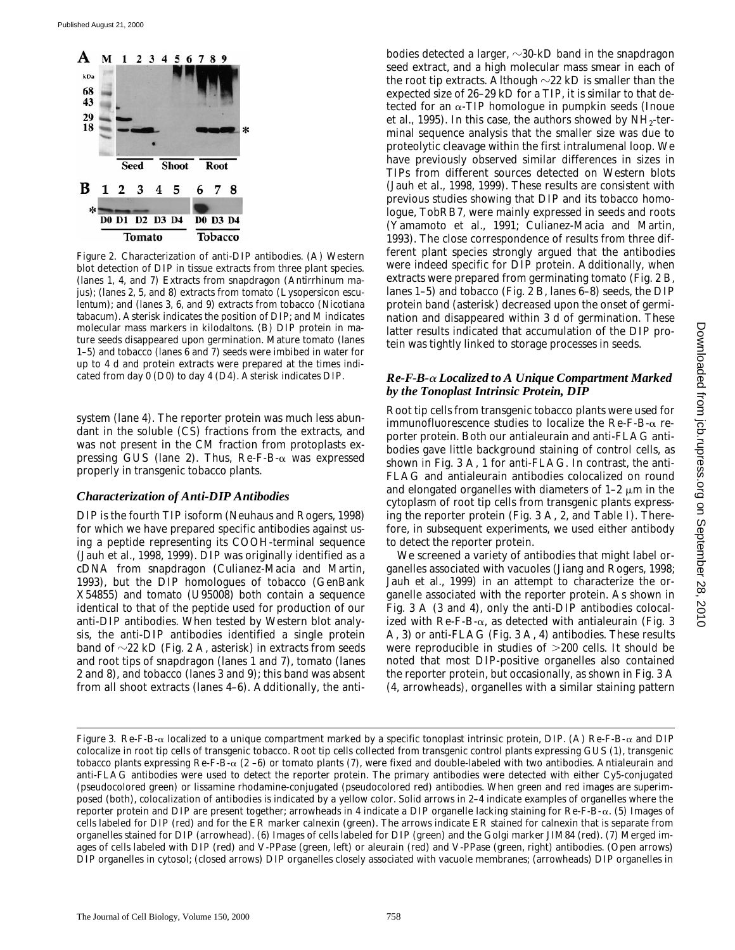

*Figure 2*. Characterization of anti-DIP antibodies. (A) Western blot detection of DIP in tissue extracts from three plant species. (lanes 1, 4, and 7) Extracts from snapdragon (*Antirrhinum majus*); (lanes 2, 5, and 8) extracts from tomato (*Lysopersicon esculentum*); and (lanes 3, 6, and 9) extracts from tobacco (*Nicotiana tabacum*). Asterisk indicates the position of DIP; and M indicates molecular mass markers in kilodaltons. (B) DIP protein in mature seeds disappeared upon germination. Mature tomato (lanes 1–5) and tobacco (lanes 6 and 7) seeds were imbibed in water for up to 4 d and protein extracts were prepared at the times indicated from day 0 (D0) to day 4 (D4). Asterisk indicates DIP.

system (lane 4). The reporter protein was much less abundant in the soluble (CS) fractions from the extracts, and was not present in the CM fraction from protoplasts expressing GUS (lane 2). Thus,  $\text{Re-F-B-}\alpha$  was expressed properly in transgenic tobacco plants.

#### *Characterization of Anti-DIP Antibodies*

DIP is the fourth TIP isoform (Neuhaus and Rogers, 1998) for which we have prepared specific antibodies against using a peptide representing its COOH-terminal sequence (Jauh et al., 1998, 1999). DIP was originally identified as a cDNA from snapdragon (Culianez-Macia and Martin, 1993), but the DIP homologues of tobacco (GenBank X54855) and tomato (U95008) both contain a sequence identical to that of the peptide used for production of our anti-DIP antibodies. When tested by Western blot analysis, the anti-DIP antibodies identified a single protein band of  $\sim$ 22 kD (Fig. 2 A, asterisk) in extracts from seeds and root tips of snapdragon (lanes 1 and 7), tomato (lanes 2 and 8), and tobacco (lanes 3 and 9); this band was absent from all shoot extracts (lanes 4–6). Additionally, the antibodies detected a larger,  $\sim$ 30-kD band in the snapdragon seed extract, and a high molecular mass smear in each of the root tip extracts. Although  $\sim$ 22 kD is smaller than the expected size of 26–29 kD for a TIP, it is similar to that detected for an  $\alpha$ -TIP homologue in pumpkin seeds (Inoue et al., 1995). In this case, the authors showed by  $NH<sub>2</sub>$ -terminal sequence analysis that the smaller size was due to proteolytic cleavage within the first intralumenal loop. We have previously observed similar differences in sizes in TIPs from different sources detected on Western blots (Jauh et al., 1998, 1999). These results are consistent with previous studies showing that DIP and its tobacco homologue, TobRB7, were mainly expressed in seeds and roots (Yamamoto et al., 1991; Culianez-Macia and Martin, 1993). The close correspondence of results from three different plant species strongly argued that the antibodies were indeed specific for DIP protein. Additionally, when extracts were prepared from germinating tomato (Fig. 2 B, lanes 1–5) and tobacco (Fig. 2 B, lanes 6–8) seeds, the DIP protein band (asterisk) decreased upon the onset of germination and disappeared within 3 d of germination. These latter results indicated that accumulation of the DIP protein was tightly linked to storage processes in seeds.

#### *Re-F-B-*a *Localized to A Unique Compartment Marked by the Tonoplast Intrinsic Protein, DIP*

Root tip cells from transgenic tobacco plants were used for immunofluorescence studies to localize the Re-F-B-a reporter protein. Both our antialeurain and anti-FLAG antibodies gave little background staining of control cells, as shown in Fig. 3 A, 1 for anti-FLAG. In contrast, the anti-FLAG and antialeurain antibodies colocalized on round and elongated organelles with diameters of  $1-2 \mu m$  in the cytoplasm of root tip cells from transgenic plants expressing the reporter protein (Fig. 3 A, 2, and Table I). Therefore, in subsequent experiments, we used either antibody to detect the reporter protein.

We screened a variety of antibodies that might label organelles associated with vacuoles (Jiang and Rogers, 1998; Jauh et al., 1999) in an attempt to characterize the organelle associated with the reporter protein. As shown in Fig. 3 A (3 and 4), only the anti-DIP antibodies colocalized with Re-F-B- $\alpha$ , as detected with antialeurain (Fig. 3 A, 3) or anti-FLAG (Fig. 3 A, 4) antibodies. These results were reproducible in studies of  $>200$  cells. It should be noted that most DIP-positive organelles also contained the reporter protein, but occasionally, as shown in Fig. 3 A (4, arrowheads), organelles with a similar staining pattern

*Figure 3.* Re-F-B- $\alpha$  localized to a unique compartment marked by a specific tonoplast intrinsic protein, DIP. (A) Re-F-B- $\alpha$  and DIP colocalize in root tip cells of transgenic tobacco. Root tip cells collected from transgenic control plants expressing GUS (1), transgenic tobacco plants expressing Re-F-B- $\alpha$  (2-6) or tomato plants (7), were fixed and double-labeled with two antibodies. Antialeurain and anti-FLAG antibodies were used to detect the reporter protein. The primary antibodies were detected with either Cy5-conjugated (pseudocolored green) or lissamine rhodamine-conjugated (pseudocolored red) antibodies. When green and red images are superimposed (both), colocalization of antibodies is indicated by a yellow color. Solid arrows in 2–4 indicate examples of organelles where the reporter protein and DIP are present together; arrowheads in 4 indicate a DIP organelle lacking staining for Re-F-B- $\alpha$ . (5) Images of cells labeled for DIP (red) and for the ER marker calnexin (green). The arrows indicate ER stained for calnexin that is separate from organelles stained for DIP (arrowhead). (6) Images of cells labeled for DIP (green) and the Golgi marker JIM84 (red). (7) Merged images of cells labeled with DIP (red) and V-PPase (green, left) or aleurain (red) and V-PPase (green, right) antibodies. (Open arrows) DIP organelles in cytosol; (closed arrows) DIP organelles closely associated with vacuole membranes; (arrowheads) DIP organelles in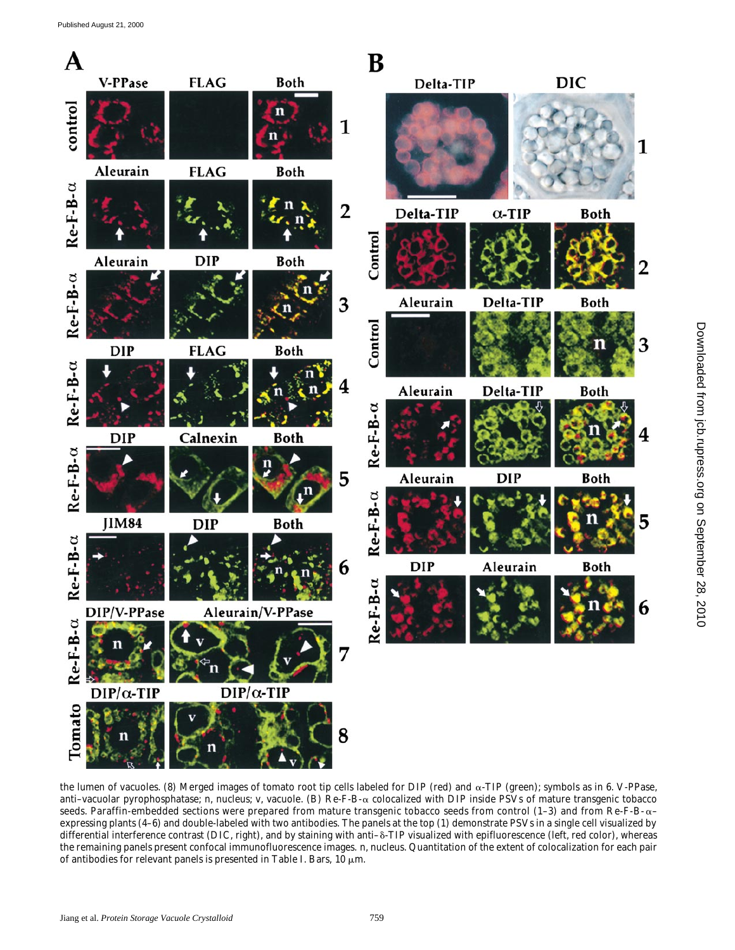

the lumen of vacuoles. (8) Merged images of tomato root tip cells labeled for DIP (red) and  $\alpha$ -TIP (green); symbols as in 6. V-PPase, anti–vacuolar pyrophosphatase; n, nucleus; v, vacuole. (B) Re-F-B-a colocalized with DIP inside PSVs of mature transgenic tobacco seeds. Paraffin-embedded sections were prepared from mature transgenic tobacco seeds from control (1-3) and from Re-F-B- $\alpha$ – expressing plants (4–6) and double-labeled with two antibodies. The panels at the top (1) demonstrate PSVs in a single cell visualized by differential interference contrast (DIC, right), and by staining with anti- $\delta$ -TIP visualized with epifluorescence (left, red color), whereas the remaining panels present confocal immunofluorescence images. n, nucleus. Quantitation of the extent of colocalization for each pair of antibodies for relevant panels is presented in Table I. Bars,  $10 \mu m$ .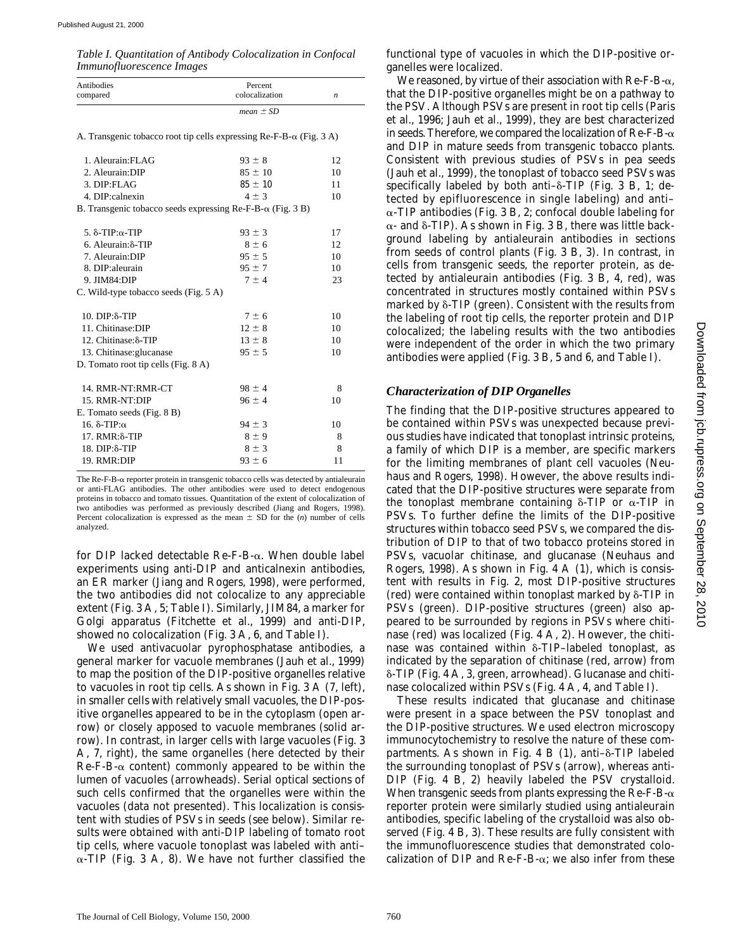*Table I. Quantitation of Antibody Colocalization in Confocal Immunofluorescence Images*

| Antibodies<br>compared | Percent<br>colocalization |  |
|------------------------|---------------------------|--|
|                        | <i>mean</i> $\pm$ SD      |  |

A. Transgenic tobacco root tip cells expressing  $\text{Re-}F-\text{Re-}G$  (Fig. 3 A)

| 1. Aleurain: FLAG                                                        | $93 \pm 8$  | 12 |
|--------------------------------------------------------------------------|-------------|----|
| 2. Aleurain: DIP                                                         | $85 \pm 10$ | 10 |
| 3. DIP:FLAG                                                              | $85 \pm 10$ | 11 |
| 4. DIP:calnexin                                                          | $4 \pm 3$   | 10 |
| B. Transgenic tobacco seeds expressing $\text{Re-F-B-}\alpha$ (Fig. 3 B) |             |    |
| 5. $δ$ -TIP: $α$ -TIP                                                    | $93 \pm 3$  | 17 |
| 6. Aleurain: δ-TIP                                                       | $8 \pm 6$   | 12 |
| 7. Aleurain: DIP                                                         | $95 \pm 5$  | 10 |
| 8. DIP: aleurain                                                         | $95 \pm 7$  | 10 |
| 9. JIM84:DIP                                                             | $7 \pm 4$   | 23 |
| C. Wild-type tobacco seeds (Fig. 5 A)                                    |             |    |
|                                                                          |             |    |
| $10.$ DIP: $δ$ -TIP                                                      | $7 \pm 6$   | 10 |
| 11. Chitinase:DIP                                                        | $12 \pm 8$  | 10 |
| 12. Chitinase:δ-TIP                                                      | $13 \pm 8$  | 10 |
| 13. Chitinase: glucanase                                                 | $95 \pm 5$  | 10 |
| D. Tomato root tip cells (Fig. 8 A)                                      |             |    |
| 14. RMR-NT:RMR-CT                                                        | $98 \pm 4$  | 8  |
| 15. RMR-NT:DIP                                                           | $96 \pm 4$  | 10 |
| E. Tomato seeds (Fig. 8 B)                                               |             |    |
| 16. δ-TIP: $α$                                                           | $94 \pm 3$  | 10 |
| $17.$ RMR:δ-TIP                                                          | $8 \pm 9$   | 8  |
| 18. DIP: $\delta$ -TIP                                                   | $8 \pm 3$   | 8  |
| 19. RMR:DIP                                                              | $93 \pm 6$  | 11 |

The Re-F-B-a reporter protein in transgenic tobacco cells was detected by antialeurain or anti-FLAG antibodies. The other antibodies were used to detect endogenous proteins in tobacco and tomato tissues. Quantitation of the extent of colocalization of two antibodies was performed as previously described (Jiang and Rogers, 1998). Percent colocalization is expressed as the mean  $\pm$  SD for the (*n*) number of cells analyzed.

for DIP lacked detectable  $\text{Re-F-B-}\alpha$ . When double label experiments using anti-DIP and anticalnexin antibodies, an ER marker (Jiang and Rogers, 1998), were performed, the two antibodies did not colocalize to any appreciable extent (Fig. 3 A, 5; Table I). Similarly, JIM84, a marker for Golgi apparatus (Fitchette et al., 1999) and anti-DIP, showed no colocalization (Fig. 3 A, 6, and Table I).

We used antivacuolar pyrophosphatase antibodies, a general marker for vacuole membranes (Jauh et al., 1999) to map the position of the DIP-positive organelles relative to vacuoles in root tip cells. As shown in Fig. 3 A (7, left), in smaller cells with relatively small vacuoles, the DIP-positive organelles appeared to be in the cytoplasm (open arrow) or closely apposed to vacuole membranes (solid arrow). In contrast, in larger cells with large vacuoles (Fig. 3 A, 7, right), the same organelles (here detected by their  $Re-F-B-\alpha$  content) commonly appeared to be within the lumen of vacuoles (arrowheads). Serial optical sections of such cells confirmed that the organelles were within the vacuoles (data not presented). This localization is consistent with studies of PSVs in seeds (see below). Similar results were obtained with anti-DIP labeling of tomato root tip cells, where vacuole tonoplast was labeled with anti–  $\alpha$ -TIP (Fig. 3 A, 8). We have not further classified the

functional type of vacuoles in which the DIP-positive organelles were localized.

We reasoned, by virtue of their association with  $\text{Re-F-B-}\alpha$ , that the DIP-positive organelles might be on a pathway to the PSV. Although PSVs are present in root tip cells (Paris et al., 1996; Jauh et al., 1999), they are best characterized in seeds. Therefore, we compared the localization of  $\text{Re-F-B-}\alpha$ and DIP in mature seeds from transgenic tobacco plants. Consistent with previous studies of PSVs in pea seeds (Jauh et al., 1999), the tonoplast of tobacco seed PSVs was specifically labeled by both anti- $\delta$ -TIP (Fig. 3 B, 1; detected by epifluorescence in single labeling) and anti–  $\alpha$ -TIP antibodies (Fig. 3 B, 2; confocal double labeling for  $\alpha$ - and  $\delta$ -TIP). As shown in Fig. 3 B, there was little background labeling by antialeurain antibodies in sections from seeds of control plants (Fig. 3 B, 3). In contrast, in cells from transgenic seeds, the reporter protein, as detected by antialeurain antibodies (Fig. 3 B, 4, red), was concentrated in structures mostly contained within PSVs marked by  $\delta$ -TIP (green). Consistent with the results from the labeling of root tip cells, the reporter protein and DIP colocalized; the labeling results with the two antibodies were independent of the order in which the two primary antibodies were applied (Fig. 3 B, 5 and 6, and Table I).

#### *Characterization of DIP Organelles*

The finding that the DIP-positive structures appeared to be contained within PSVs was unexpected because previous studies have indicated that tonoplast intrinsic proteins, a family of which DIP is a member, are specific markers for the limiting membranes of plant cell vacuoles (Neuhaus and Rogers, 1998). However, the above results indicated that the DIP-positive structures were separate from the tonoplast membrane containing  $\delta$ -TIP or  $\alpha$ -TIP in PSVs. To further define the limits of the DIP-positive structures within tobacco seed PSVs, we compared the distribution of DIP to that of two tobacco proteins stored in PSVs, vacuolar chitinase, and glucanase (Neuhaus and Rogers, 1998). As shown in Fig. 4 A (1), which is consistent with results in Fig. 2, most DIP-positive structures (red) were contained within tonoplast marked by  $\delta$ -TIP in PSVs (green). DIP-positive structures (green) also appeared to be surrounded by regions in PSVs where chitinase (red) was localized (Fig. 4 A, 2). However, the chitinase was contained within  $\delta$ -TIP-labeled tonoplast, as indicated by the separation of chitinase (red, arrow) from d-TIP (Fig. 4 A, 3, green, arrowhead). Glucanase and chitinase colocalized within PSVs (Fig. 4 A, 4, and Table I).

These results indicated that glucanase and chitinase were present in a space between the PSV tonoplast and the DIP-positive structures. We used electron microscopy immunocytochemistry to resolve the nature of these compartments. As shown in Fig. 4 B  $(1)$ , anti- $\delta$ -TIP labeled the surrounding tonoplast of PSVs (arrow), whereas anti-DIP (Fig. 4 B, 2) heavily labeled the PSV crystalloid. When transgenic seeds from plants expressing the  $\text{Re-F-B-}\alpha$ reporter protein were similarly studied using antialeurain antibodies, specific labeling of the crystalloid was also observed (Fig. 4 B, 3). These results are fully consistent with the immunofluorescence studies that demonstrated colocalization of DIP and  $\text{Re-F-B-}\alpha$ ; we also infer from these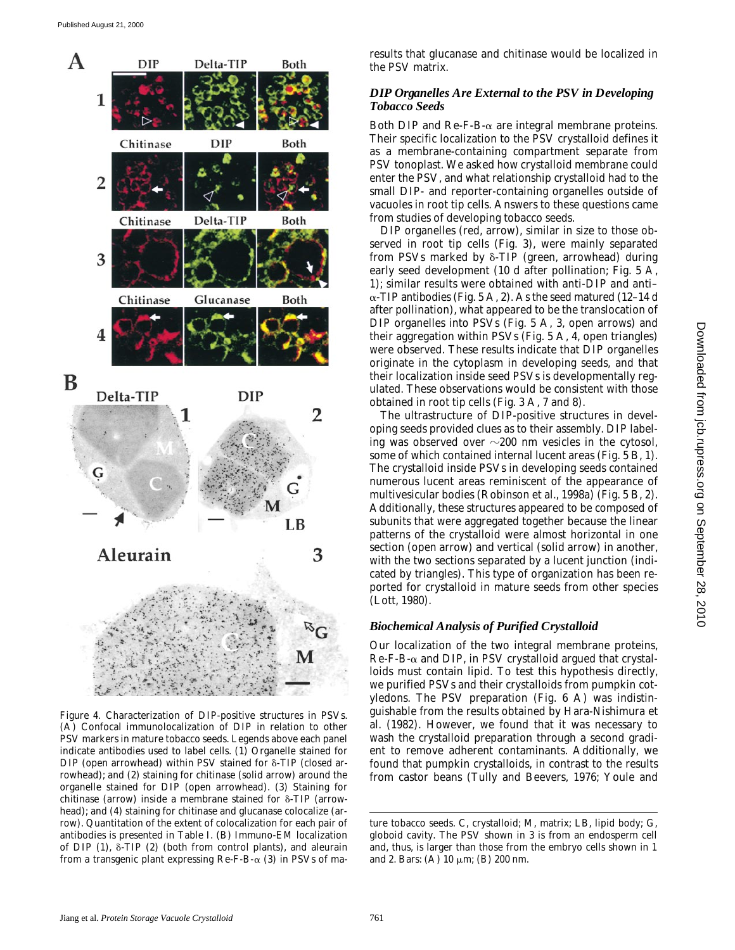

*Figure 4*. Characterization of DIP-positive structures in PSVs. (A) Confocal immunolocalization of DIP in relation to other PSV markers in mature tobacco seeds. Legends above each panel indicate antibodies used to label cells. (1) Organelle stained for DIP (open arrowhead) within PSV stained for  $\delta$ -TIP (closed arrowhead); and (2) staining for chitinase (solid arrow) around the organelle stained for DIP (open arrowhead). (3) Staining for chitinase (arrow) inside a membrane stained for  $\delta$ -TIP (arrowhead); and (4) staining for chitinase and glucanase colocalize (arrow). Quantitation of the extent of colocalization for each pair of antibodies is presented in Table I. (B) Immuno-EM localization of DIP  $(1)$ ,  $\delta$ -TIP  $(2)$  (both from control plants), and aleurain from a transgenic plant expressing  $\text{Re-F-B-}\alpha$  (3) in PSVs of ma-

results that glucanase and chitinase would be localized in the PSV matrix.

#### *DIP Organelles Are External to the PSV in Developing Tobacco Seeds*

Both DIP and Re-F-B- $\alpha$  are integral membrane proteins. Their specific localization to the PSV crystalloid defines it as a membrane-containing compartment separate from PSV tonoplast. We asked how crystalloid membrane could enter the PSV, and what relationship crystalloid had to the small DIP- and reporter-containing organelles outside of vacuoles in root tip cells. Answers to these questions came from studies of developing tobacco seeds.

DIP organelles (red, arrow), similar in size to those observed in root tip cells (Fig. 3), were mainly separated from PSVs marked by  $\delta$ -TIP (green, arrowhead) during early seed development (10 d after pollination; Fig. 5 A, 1); similar results were obtained with anti-DIP and anti–  $\alpha$ -TIP antibodies (Fig. 5 A, 2). As the seed matured (12–14 d after pollination), what appeared to be the translocation of DIP organelles into PSVs (Fig. 5 A, 3, open arrows) and their aggregation within PSVs (Fig. 5 A, 4, open triangles) were observed. These results indicate that DIP organelles originate in the cytoplasm in developing seeds, and that their localization inside seed PSVs is developmentally regulated. These observations would be consistent with those obtained in root tip cells (Fig. 3 A, 7 and 8).

The ultrastructure of DIP-positive structures in developing seeds provided clues as to their assembly. DIP labeling was observed over  $\sim$ 200 nm vesicles in the cytosol, some of which contained internal lucent areas (Fig. 5 B, 1). The crystalloid inside PSVs in developing seeds contained numerous lucent areas reminiscent of the appearance of multivesicular bodies (Robinson et al., 1998a) (Fig. 5 B, 2). Additionally, these structures appeared to be composed of subunits that were aggregated together because the linear patterns of the crystalloid were almost horizontal in one section (open arrow) and vertical (solid arrow) in another, with the two sections separated by a lucent junction (indicated by triangles). This type of organization has been reported for crystalloid in mature seeds from other species (Lott, 1980).

#### *Biochemical Analysis of Purified Crystalloid*

Our localization of the two integral membrane proteins,  $Re-F-B-\alpha$  and DIP, in PSV crystalloid argued that crystalloids must contain lipid. To test this hypothesis directly, we purified PSVs and their crystalloids from pumpkin cotyledons. The PSV preparation (Fig. 6 A) was indistinguishable from the results obtained by Hara-Nishimura et al. (1982). However, we found that it was necessary to wash the crystalloid preparation through a second gradient to remove adherent contaminants. Additionally, we found that pumpkin crystalloids, in contrast to the results from castor beans (Tully and Beevers, 1976; Youle and

ture tobacco seeds. C, crystalloid; M, matrix; LB, lipid body; G, globoid cavity. The PSV shown in 3 is from an endosperm cell and, thus, is larger than those from the embryo cells shown in 1 and 2. Bars: (A)  $10 \mu m$ ; (B)  $200 \text{ nm}$ .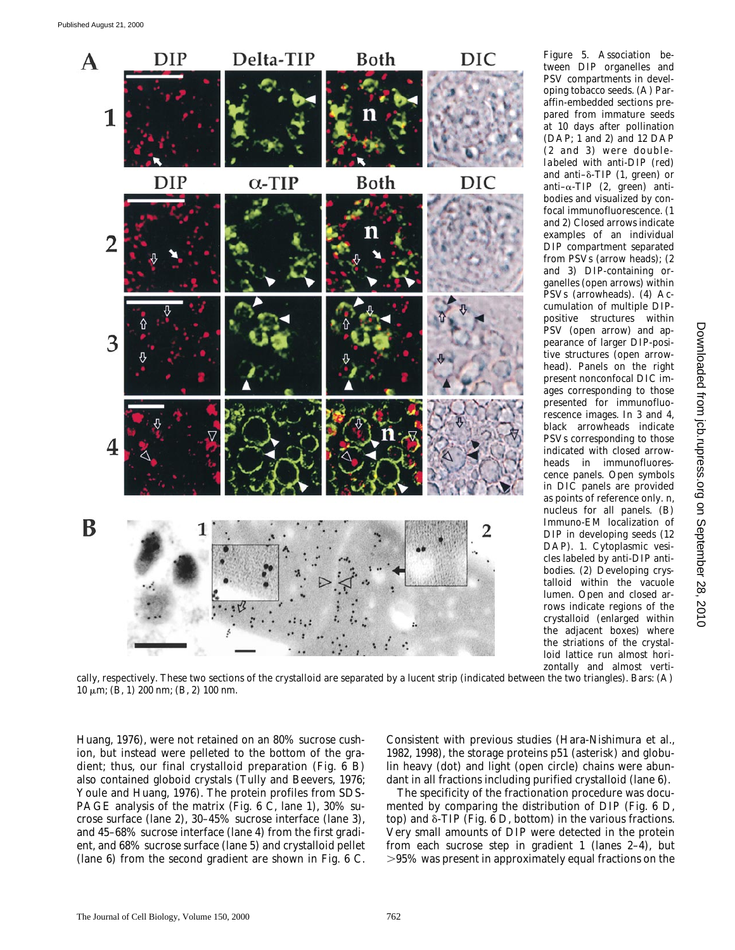

*Figure 5*. Association between DIP organelles and PSV compartments in developing tobacco seeds. (A) Paraffin-embedded sections prepared from immature seeds at 10 days after pollination (DAP; 1 and 2) and 12 DAP (2 and 3) were doublelabeled with anti-DIP (red) and anti- $\delta$ -TIP (1, green) or anti- $\alpha$ -TIP (2, green) antibodies and visualized by confocal immunofluorescence. (1 and 2) Closed arrows indicate examples of an individual DIP compartment separated from PSVs (arrow heads); (2 and 3) DIP-containing organelles (open arrows) within PSVs (arrowheads). (4) Accumulation of multiple DIPpositive structures within PSV (open arrow) and appearance of larger DIP-positive structures (open arrowhead). Panels on the right present nonconfocal DIC images corresponding to those presented for immunofluorescence images. In 3 and 4, black arrowheads indicate PSVs corresponding to those indicated with closed arrowheads in immunofluorescence panels. Open symbols in DIC panels are provided as points of reference only. n, nucleus for all panels. (B) Immuno-EM localization of DIP in developing seeds (12 DAP). 1. Cytoplasmic vesicles labeled by anti-DIP antibodies. (2) Developing crystalloid within the vacuole lumen. Open and closed arrows indicate regions of the crystalloid (enlarged within

the adjacent boxes) where the striations of the crystalloid lattice run almost horizontally and almost vertically, respectively. These two sections of the crystalloid are separated by a lucent strip (indicated between the two triangles). Bars: (A)  $10 \mu m$ ; (B, 1) 200 nm; (B, 2) 100 nm.

Huang, 1976), were not retained on an 80% sucrose cushion, but instead were pelleted to the bottom of the gradient; thus, our final crystalloid preparation (Fig. 6 B) also contained globoid crystals (Tully and Beevers, 1976; Youle and Huang, 1976). The protein profiles from SDS-PAGE analysis of the matrix (Fig. 6 C, lane 1), 30% sucrose surface (lane 2), 30–45% sucrose interface (lane 3), and 45–68% sucrose interface (lane 4) from the first gradient, and 68% sucrose surface (lane 5) and crystalloid pellet (lane 6) from the second gradient are shown in Fig. 6 C. Consistent with previous studies (Hara-Nishimura et al., 1982, 1998), the storage proteins p51 (asterisk) and globulin heavy (dot) and light (open circle) chains were abundant in all fractions including purified crystalloid (lane 6).

The specificity of the fractionation procedure was documented by comparing the distribution of DIP (Fig. 6 D, top) and  $\delta$ -TIP (Fig. 6 D, bottom) in the various fractions. Very small amounts of DIP were detected in the protein from each sucrose step in gradient 1 (lanes 2–4), but  $>95\%$  was present in approximately equal fractions on the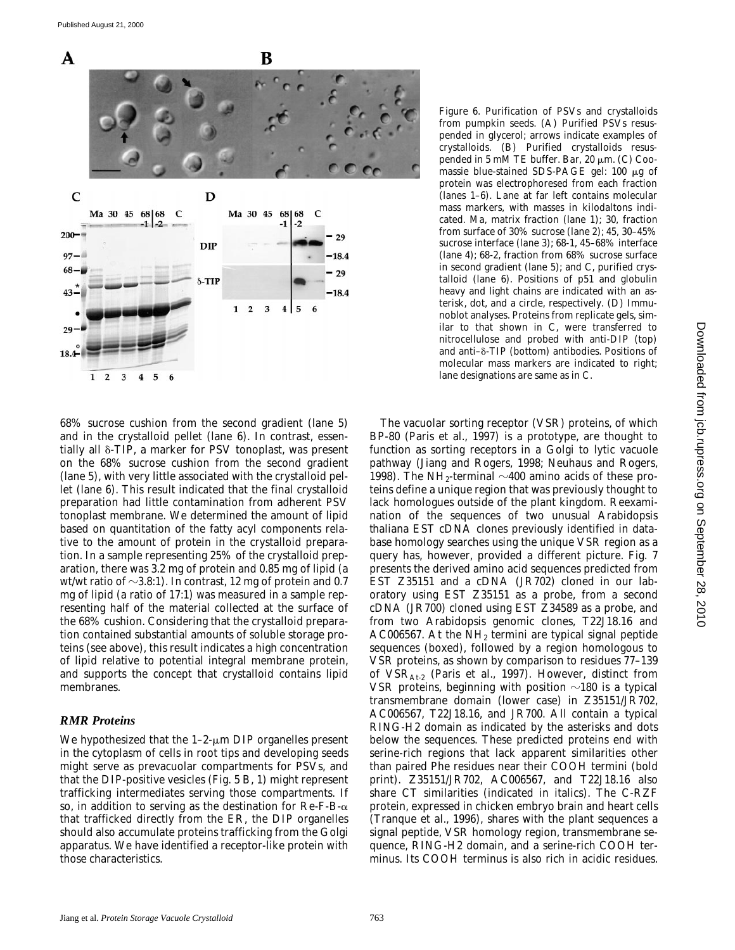

68% sucrose cushion from the second gradient (lane 5) and in the crystalloid pellet (lane 6). In contrast, essentially all  $\delta$ -TIP, a marker for PSV tonoplast, was present on the 68% sucrose cushion from the second gradient (lane 5), with very little associated with the crystalloid pellet (lane 6). This result indicated that the final crystalloid preparation had little contamination from adherent PSV tonoplast membrane. We determined the amount of lipid based on quantitation of the fatty acyl components relative to the amount of protein in the crystalloid preparation. In a sample representing 25% of the crystalloid preparation, there was 3.2 mg of protein and 0.85 mg of lipid (a wt/wt ratio of  $\sim$ 3.8:1). In contrast, 12 mg of protein and 0.7 mg of lipid (a ratio of 17:1) was measured in a sample representing half of the material collected at the surface of the 68% cushion. Considering that the crystalloid preparation contained substantial amounts of soluble storage proteins (see above), this result indicates a high concentration of lipid relative to potential integral membrane protein, and supports the concept that crystalloid contains lipid membranes.

#### *RMR Proteins*

We hypothesized that the  $1-2$ - $\mu$ m DIP organelles present in the cytoplasm of cells in root tips and developing seeds might serve as prevacuolar compartments for PSVs, and that the DIP-positive vesicles (Fig. 5 B, 1) might represent trafficking intermediates serving those compartments. If so, in addition to serving as the destination for  $\text{Re-F-B-}\alpha$ that trafficked directly from the ER, the DIP organelles should also accumulate proteins trafficking from the Golgi apparatus. We have identified a receptor-like protein with those characteristics.

*Figure 6*. Purification of PSVs and crystalloids from pumpkin seeds. (A) Purified PSVs resuspended in glycerol; arrows indicate examples of crystalloids. (B) Purified crystalloids resuspended in 5 mM TE buffer. Bar, 20  $\mu$ m. (C) Coomassie blue-stained SDS-PAGE gel:  $100 \mu g$  of protein was electrophoresed from each fraction (lanes 1–6). Lane at far left contains molecular mass markers, with masses in kilodaltons indicated. Ma, matrix fraction (lane 1); 30, fraction from surface of 30% sucrose (lane 2); 45, 30–45% sucrose interface (lane 3); 68-1, 45–68% interface (lane 4); 68-2, fraction from 68% sucrose surface in second gradient (lane 5); and C, purified crystalloid (lane 6). Positions of p51 and globulin heavy and light chains are indicated with an asterisk, dot, and a circle, respectively. (D) Immunoblot analyses. Proteins from replicate gels, similar to that shown in C, were transferred to nitrocellulose and probed with anti-DIP (top) and anti- $\delta$ -TIP (bottom) antibodies. Positions of molecular mass markers are indicated to right; lane designations are same as in C.

The vacuolar sorting receptor (VSR) proteins, of which BP-80 (Paris et al., 1997) is a prototype, are thought to function as sorting receptors in a Golgi to lytic vacuole pathway (Jiang and Rogers, 1998; Neuhaus and Rogers, 1998). The NH<sub>2</sub>-terminal  $\sim$ 400 amino acids of these proteins define a unique region that was previously thought to lack homologues outside of the plant kingdom. Reexamination of the sequences of two unusual *Arabidopsis thaliana* EST cDNA clones previously identified in database homology searches using the unique VSR region as a query has, however, provided a different picture. Fig. 7 presents the derived amino acid sequences predicted from EST Z35151 and a cDNA (JR702) cloned in our laboratory using EST Z35151 as a probe, from a second cDNA (JR700) cloned using EST Z34589 as a probe, and from two *Arabidopsis* genomic clones, T22J18.16 and  $AC006567$ . At the NH<sub>2</sub> termini are typical signal peptide sequences (boxed), followed by a region homologous to VSR proteins, as shown by comparison to residues 77–139 of  $VSR<sub>At-2</sub>$  (Paris et al., 1997). However, distinct from VSR proteins, beginning with position  $\sim$ 180 is a typical transmembrane domain (lower case) in Z35151/JR702, AC006567, T22J18.16, and JR700. All contain a typical RING-H2 domain as indicated by the asterisks and dots below the sequences. These predicted proteins end with serine-rich regions that lack apparent similarities other than paired Phe residues near their COOH termini (bold print). Z35151/JR702, AC006567, and T22J18.16 also share CT similarities (indicated in italics). The C-RZF protein, expressed in chicken embryo brain and heart cells (Tranque et al., 1996), shares with the plant sequences a signal peptide, VSR homology region, transmembrane sequence, RING-H2 domain, and a serine-rich COOH terminus. Its COOH terminus is also rich in acidic residues.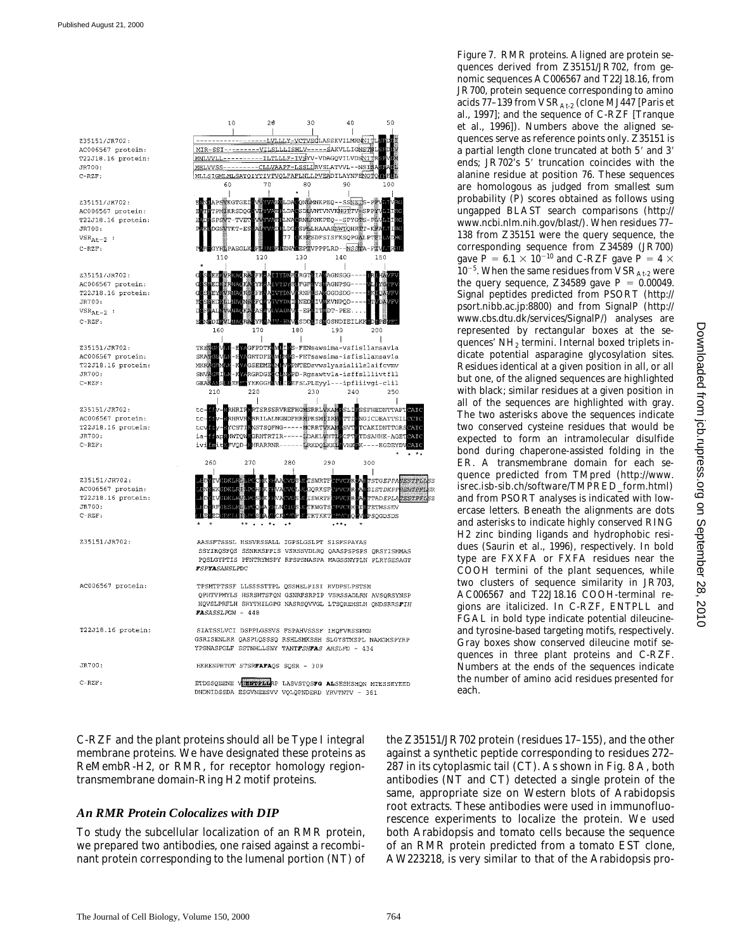Z35151/JR702: AC006567 protein:  $T22J18.16$  protein:  $TRT00$  $C-RZF$ :

Z35151/JR702: AC006567 protein: T22J18.16 protein: JR700:  $VSR_{At-2}$  $C-RZF$ :

Z35151/JR702: AC006567 protein: T22J18.16 protein: JR700:  $VSR_{At-2}$  $C- RZF:$ 

Z35151/JR702: AC006567 protein: T22J18.16 protein: JR700:  $C-REF$ :

Z35151/JR702: AC006567 protein:  $T22J18.16$  protein:  $JR700:$  $C-RCF$ :

| Z35151/JR702:      |
|--------------------|
| AC006567 protein:  |
| T22J18.16 protein: |
| JR700:             |
| $C- RZF:$          |
|                    |
|                    |
| Z35151/JR702:      |
|                    |
|                    |
|                    |

AC006567 protein: TPSMTPTSSF LLSSSSTTPL QSSHELPISI RVDPSLPSTSM FASASSLPGW - 448 T22J18.16 protein: SIATSSLVCI DSPPLGSSVS FSPAHVSSSF IHQFVRSSPMN YPSNASPGLF SSTNHLLSNY TANTFSHFAS AHSLPD - 434 JR700: HKRESPRTDT STSRFAFAQS SQSR - 309  $C-RZF$ :

DNDNIDSSDA ESGVNEESVV VQLQPNDERD YRVTNTV - 381

C-RZF and the plant proteins should all be Type I integral membrane proteins. We have designated these proteins as ReMembR-H2, or RMR, for receptor homology regiontransmembrane domain-Ring H2 motif proteins.

#### *An RMR Protein Colocalizes with DIP*

To study the subcellular localization of an RMR protein, we prepared two antibodies, one raised against a recombinant protein corresponding to the lumenal portion (NT) of

 $10$  $20^{\circ}$ 30 40 50 LVLLLY-VCTVSCLASSKVILMRNNIT MIR-SSI-<u>-VILSLLLISHLV-----SAKVLLIGNSTS</u> -ILTLLLF-IVSYV-VDAGQVILVDSNI **MNLVVLL** -CLLVAAPF-LSSLIRVSLATVVL--NSI MRLVVSS-MLLSIGMLMLSATOIYTIVTVOLFAFLNLLPVEADILAYNFENGT 80 60  $70$  $9<sup>c</sup>$ 100 PSWKGTGE. **EMNKPEO--SSNET EVNTVNVKNGTTV** PMEKRSDOG **kropš** :PSWT−TVE W.RNKPEQ--SPYGTS-PE **PELHAAASNWIOHRII** EPSDFSISFKSQPGALPT ENASEPTVPPPLRD--NSSTA  $130^{7}$ 140 120 110 GNSGG-**GNPSG-**GDSDG-VNPOD  $T-PEE$ **GSNDIEILKE** 190 180 200 -<br>FENsawsima-vsfisllamsavla **SRTDFI** -FETsawsima-isfisllamsavla SKI **NTEDsvwslyasialilslaifcvmv SSEEM** MKI .<br>GRDC .<br>PD-Rosawtvla-isffslllivtfll **TEKGGE** EEFSLPLEyyl---ipfliivgi-clil 220 230 210 240 250 RTSRSSRVREFHGLSRRLVKA SSFHEDNTTAF **HRI** t.c. rrilalngndfhr<mark>i</mark>pksmitr GICDEATTSI tc **HRV** CT. ese. ISTSQFNG-----**M**CRRTVKA CAKIDNTTGR AI ERHTRTTR----EDAKL WHT DSAHHK-AGET  $1a$ **MTOL** AI ( RARRNR-**LRKDOLKK** --KGDEYDV AIC 260 270 280 290 300 SMRTH TGEPPA**SESTPLL GORKSF IST***DKPP<b>SEHTPFL* TAD*EPLATESTPEL* **SWRTH** .<br>WGT **ETMSSEV SQGDSDS** AASSFTSSSL HSSVRSSALL IGPSLGSLPT SISFSPAYAS SSYIRQSFQS SSNRRSPPIS VSRSSVDLRQ QAASPSPSPS QRSYISHMAS POSLGYPTIS PFNTRYMSPY RPSPSNASPA MAGSSNYPLN PLRYSESAGT **FSPYASANSLPDC** QPHTVPMYLS HSRSHTSFQN GSNRFSRPIP VSRSSADLRN AVSQRSYNSP HQVSLPRFLH SRYTHILGPG NASRSQVVGL LTSQREHSLH ONDSRRSFIH GSRISENLRR QASPLQSSSQ RSHLSMKSSH SLGYSTMSPL NAMGMSPYRP ETDSSQEENE VERWIPLIKP LASVSTQSFG ALSESHSHQN MTESSEYEED

*Figure 7*. RMR proteins. Aligned are protein sequences derived from Z35151/JR702, from genomic sequences AC006567 and T22J18.16, from JR700, protein sequence corresponding to amino acids 77–139 from  $VSR<sub>At-2</sub>$  (clone MJ447 [Paris et al., 1997]; and the sequence of C-RZF [Tranque et al., 1996]). Numbers above the aligned sequences serve as reference points only. Z35151 is a partial length clone truncated at both 5' and 3' ends; JR702's 5' truncation coincides with the alanine residue at position 76. These sequences are homologous as judged from smallest sum probability (P) scores obtained as follows using ungapped BLAST search comparisons (http:// www.ncbi.nlm.nih.gov/blast/). When residues 77– 138 from Z35151 were the query sequence, the corresponding sequence from Z34589 (JR700) gave  $P = 6.1 \times 10^{-10}$  and C-RZF gave  $P = 4 \times$  $10^{-5}$ . When the same residues from VSR<sub>At-2</sub> were the query sequence, Z34589 gave  $P = 0.00049$ . Signal peptides predicted from PSORT (http:// psort.nibb.ac.jp:8800) and from SignalP (http:// www.cbs.dtu.dk/services/SignalP/) analyses are represented by rectangular boxes at the sequences' NH2 termini. Internal boxed triplets indicate potential asparagine glycosylation sites. Residues identical at a given position in all, or all but one, of the aligned sequences are highlighted with black; similar residues at a given position in all of the sequences are highlighted with gray. The two asterisks above the sequences indicate two conserved cysteine residues that would be expected to form an intramolecular disulfide bond during chaperone-assisted folding in the ER. A transmembrane domain for each sequence predicted from TMpred (http://www. isrec.isb-sib.ch/software/TMPRED\_form.html) and from PSORT analyses is indicated with lowercase letters. Beneath the alignments are dots and asterisks to indicate highly conserved RING H2 zinc binding ligands and hydrophobic residues (Saurin et al., 1996), respectively. In bold type are FXXFA or FXFA residues near the COOH termini of the plant sequences, while two clusters of sequence similarity in JR703, AC006567 and T22J18.16 COOH-terminal regions are italicized. In C-RZF, ENTPLL and FGAL in bold type indicate potential dileucineand tyrosine-based targeting motifs, respectively. Gray boxes show conserved dileucine motif sequences in three plant proteins and C-RZF. Numbers at the ends of the sequences indicate the number of amino acid residues presented for each.

the Z35151/JR702 protein (residues 17–155), and the other against a synthetic peptide corresponding to residues 272– 287 in its cytoplasmic tail (CT). As shown in Fig. 8 A, both antibodies (NT and CT) detected a single protein of the same, appropriate size on Western blots of *Arabidopsis* root extracts. These antibodies were used in immunofluorescence experiments to localize the protein. We used both *Arabidopsis* and tomato cells because the sequence of an RMR protein predicted from a tomato EST clone, AW223218, is very similar to that of the *Arabidopsis* pro-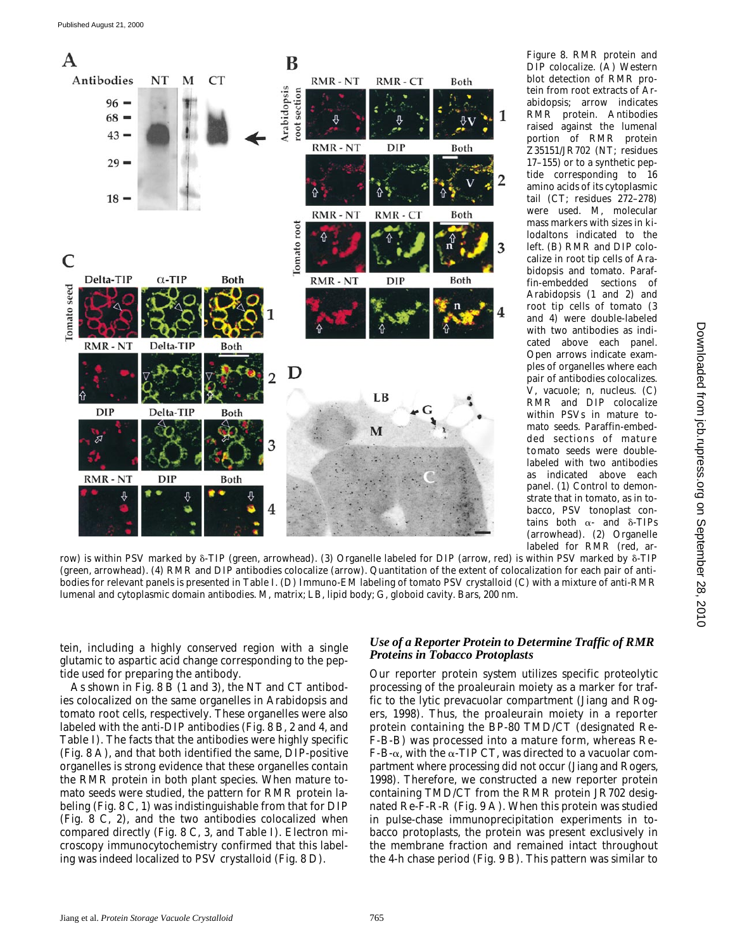

*Figure 8*. RMR protein and DIP colocalize. (A) Western blot detection of RMR protein from root extracts of *Arabidopsis*; arrow indicates RMR protein. Antibodies raised against the lumenal portion of RMR protein Z35151/JR702 (NT; residues 17–155) or to a synthetic peptide corresponding to 16 amino acids of its cytoplasmic tail (CT; residues 272–278) were used. M, molecular mass markers with sizes in kilodaltons indicated to the left. (B) RMR and DIP colocalize in root tip cells of *Arabidopsis* and tomato. Paraffin-embedded sections of *Arabidopsis* (1 and 2) and root tip cells of tomato (3 and 4) were double-labeled with two antibodies as indicated above each panel. Open arrows indicate examples of organelles where each pair of antibodies colocalizes. V, vacuole; n, nucleus. (C) RMR and DIP colocalize within PSVs in mature tomato seeds. Paraffin-embedded sections of mature tomato seeds were doublelabeled with two antibodies as indicated above each panel. (1) Control to demonstrate that in tomato, as in tobacco, PSV tonoplast contains both  $\alpha$ - and  $\delta$ -TIPs (arrowhead). (2) Organelle labeled for RMR (red, ar-

row) is within PSV marked by  $\delta$ -TIP (green, arrowhead). (3) Organelle labeled for DIP (arrow, red) is within PSV marked by  $\delta$ -TIP (green, arrowhead). (4) RMR and DIP antibodies colocalize (arrow). Quantitation of the extent of colocalization for each pair of antibodies for relevant panels is presented in Table I. (D) Immuno-EM labeling of tomato PSV crystalloid (C) with a mixture of anti-RMR lumenal and cytoplasmic domain antibodies. M, matrix; LB, lipid body; G, globoid cavity. Bars, 200 nm.

tein, including a highly conserved region with a single glutamic to aspartic acid change corresponding to the peptide used for preparing the antibody.

As shown in Fig. 8 B (1 and 3), the NT and CT antibodies colocalized on the same organelles in *Arabidopsis* and tomato root cells, respectively. These organelles were also labeled with the anti-DIP antibodies (Fig. 8 B, 2 and 4, and Table I). The facts that the antibodies were highly specific (Fig. 8 A), and that both identified the same, DIP-positive organelles is strong evidence that these organelles contain the RMR protein in both plant species. When mature tomato seeds were studied, the pattern for RMR protein labeling (Fig. 8 C, 1) was indistinguishable from that for DIP (Fig. 8 C, 2), and the two antibodies colocalized when compared directly (Fig. 8 C, 3, and Table I). Electron microscopy immunocytochemistry confirmed that this labeling was indeed localized to PSV crystalloid (Fig. 8 D).

#### *Use of a Reporter Protein to Determine Traffic of RMR Proteins in Tobacco Protoplasts*

Our reporter protein system utilizes specific proteolytic processing of the proaleurain moiety as a marker for traffic to the lytic prevacuolar compartment (Jiang and Rogers, 1998). Thus, the proaleurain moiety in a reporter protein containing the BP-80 TMD/CT (designated Re-F-B-B) was processed into a mature form, whereas Re- $F-B-\alpha$ , with the  $\alpha$ -TIP CT, was directed to a vacuolar compartment where processing did not occur (Jiang and Rogers, 1998). Therefore, we constructed a new reporter protein containing TMD/CT from the RMR protein JR702 designated Re-F-R-R (Fig. 9 A). When this protein was studied in pulse-chase immunoprecipitation experiments in tobacco protoplasts, the protein was present exclusively in the membrane fraction and remained intact throughout the 4-h chase period (Fig. 9 B). This pattern was similar to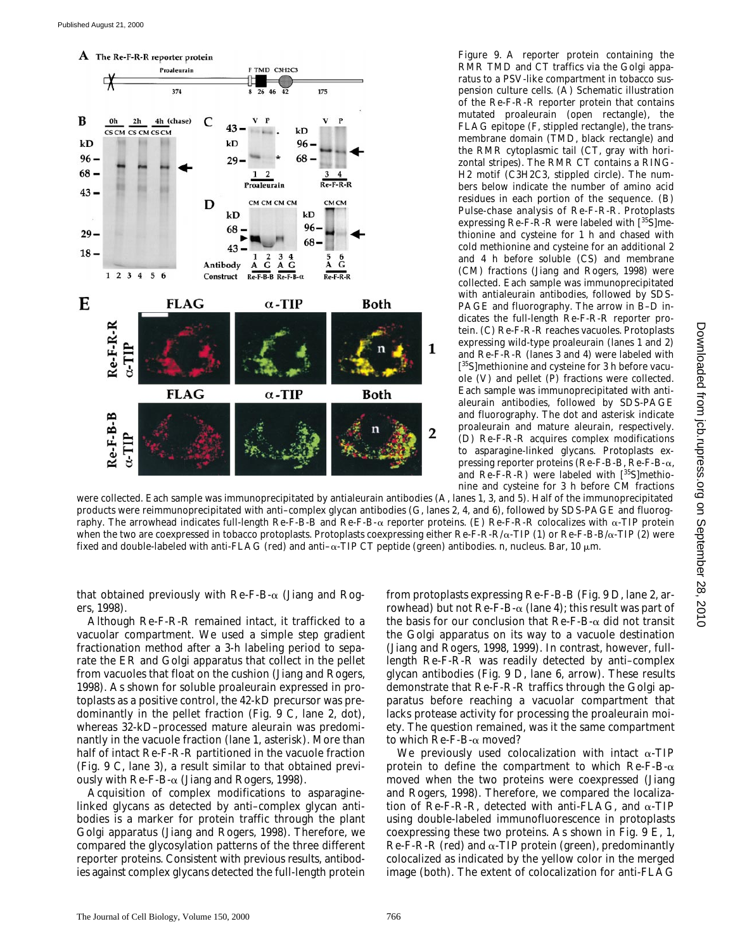

RMR TMD and CT traffics via the Golgi apparatus to a PSV-like compartment in tobacco suspension culture cells. (A) Schematic illustration of the Re-F-R-R reporter protein that contains mutated proaleurain (open rectangle), the FLAG epitope (F, stippled rectangle), the transmembrane domain (TMD, black rectangle) and the RMR cytoplasmic tail (CT, gray with horizontal stripes). The RMR CT contains a RING-H2 motif (C3H2C3, stippled circle). The numbers below indicate the number of amino acid residues in each portion of the sequence. (B) Pulse-chase analysis of Re-F-R-R. Protoplasts expressing Re-F-R-R were labeled with [35S]methionine and cysteine for 1 h and chased with cold methionine and cysteine for an additional 2 and 4 h before soluble (CS) and membrane (CM) fractions (Jiang and Rogers, 1998) were collected. Each sample was immunoprecipitated with antialeurain antibodies, followed by SDS-PAGE and fluorography. The arrow in B–D indicates the full-length Re-F-R-R reporter protein. (C) Re-F-R-R reaches vacuoles. Protoplasts expressing wild-type proaleurain (lanes 1 and 2) and Re-F-R-R (lanes 3 and 4) were labeled with [ 35S]methionine and cysteine for 3 h before vacuole (V) and pellet (P) fractions were collected. Each sample was immunoprecipitated with antialeurain antibodies, followed by SDS-PAGE and fluorography. The dot and asterisk indicate proaleurain and mature aleurain, respectively. (D) Re-F-R-R acquires complex modifications to asparagine-linked glycans. Protoplasts expressing reporter proteins (Re-F-B-B, Re-F-B-a, and  $Re-F-R-R$ ) were labeled with  $[^{35}S]$ methionine and cysteine for 3 h before CM fractions

*Figure 9*. A reporter protein containing the

were collected. Each sample was immunoprecipitated by antialeurain antibodies (A, lanes 1, 3, and 5). Half of the immunoprecipitated products were reimmunoprecipitated with anti–complex glycan antibodies (G, lanes 2, 4, and 6), followed by SDS-PAGE and fluorography. The arrowhead indicates full-length Re-F-B-B and Re-F-B- $\alpha$  reporter proteins. (E) Re-F-R-R colocalizes with  $\alpha$ -TIP protein when the two are coexpressed in tobacco protoplasts. Protoplasts coexpressing either  $Re-F-R-R/\alpha-TIP$  (1) or  $Re-F-B-B/\alpha-TIP$  (2) were fixed and double-labeled with anti-FLAG (red) and anti- $\alpha$ -TIP CT peptide (green) antibodies. n, nucleus. Bar, 10  $\mu$ m.

that obtained previously with  $\text{Re-F-B-}\alpha$  (Jiang and Rogers, 1998).

Although Re-F-R-R remained intact, it trafficked to a vacuolar compartment. We used a simple step gradient fractionation method after a 3-h labeling period to separate the ER and Golgi apparatus that collect in the pellet from vacuoles that float on the cushion (Jiang and Rogers, 1998). As shown for soluble proaleurain expressed in protoplasts as a positive control, the 42-kD precursor was predominantly in the pellet fraction (Fig. 9 C, lane 2, dot), whereas 32-kD–processed mature aleurain was predominantly in the vacuole fraction (lane 1, asterisk). More than half of intact Re-F-R-R partitioned in the vacuole fraction (Fig. 9 C, lane 3), a result similar to that obtained previously with  $\text{Re-F-B-}\alpha$  (Jiang and Rogers, 1998).

Acquisition of complex modifications to asparaginelinked glycans as detected by anti–complex glycan antibodies is a marker for protein traffic through the plant Golgi apparatus (Jiang and Rogers, 1998). Therefore, we compared the glycosylation patterns of the three different reporter proteins. Consistent with previous results, antibodies against complex glycans detected the full-length protein

from protoplasts expressing Re-F-B-B (Fig. 9 D, lane 2, arrowhead) but not Re-F-B- $\alpha$  (lane 4); this result was part of the basis for our conclusion that  $\text{Re-}F-\text{Re-}a$  did not transit the Golgi apparatus on its way to a vacuole destination (Jiang and Rogers, 1998, 1999). In contrast, however, fulllength Re-F-R-R was readily detected by anti–complex glycan antibodies (Fig. 9 D, lane 6, arrow). These results demonstrate that Re-F-R-R traffics through the Golgi apparatus before reaching a vacuolar compartment that lacks protease activity for processing the proaleurain moiety. The question remained, was it the same compartment to which Re-F-B-a moved?

We previously used colocalization with intact  $\alpha$ -TIP protein to define the compartment to which  $\text{Re-F-B-}\alpha$ moved when the two proteins were coexpressed (Jiang and Rogers, 1998). Therefore, we compared the localization of Re-F-R-R, detected with anti-FLAG, and  $\alpha$ -TIP using double-labeled immunofluorescence in protoplasts coexpressing these two proteins. As shown in Fig. 9 E, 1, Re-F-R-R (red) and  $\alpha$ -TIP protein (green), predominantly colocalized as indicated by the yellow color in the merged image (both). The extent of colocalization for anti-FLAG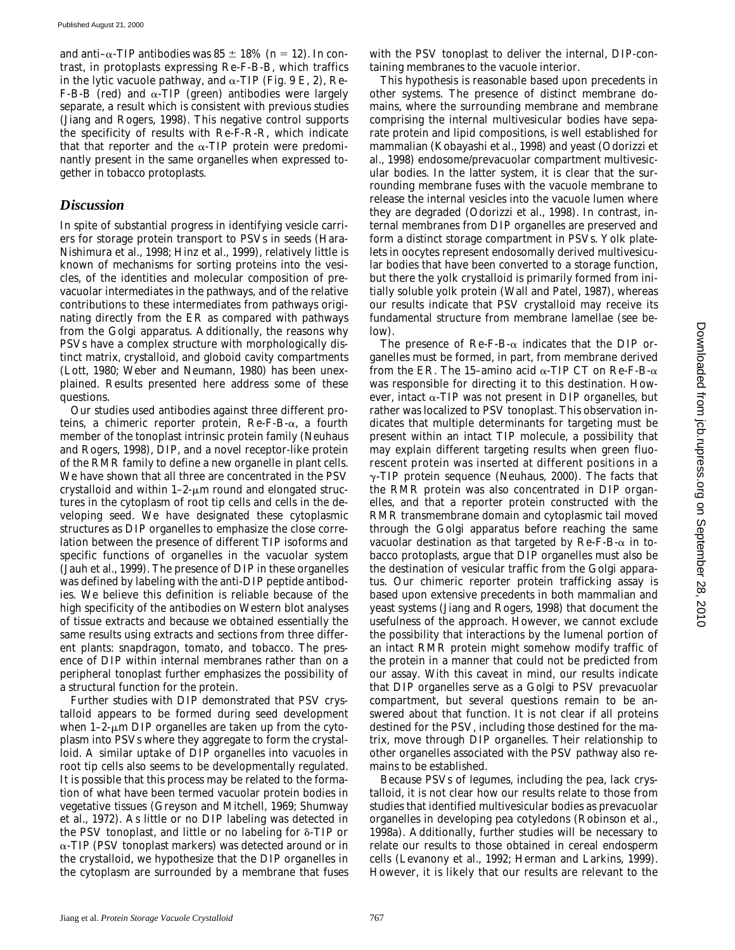and anti- $\alpha$ -TIP antibodies was 85  $\pm$  18% (*n* = 12). In contrast, in protoplasts expressing Re-F-B-B, which traffics in the lytic vacuole pathway, and  $\alpha$ -TIP (Fig. 9 E, 2), Re-F-B-B (red) and  $\alpha$ -TIP (green) antibodies were largely separate, a result which is consistent with previous studies (Jiang and Rogers, 1998). This negative control supports the specificity of results with Re-F-R-R, which indicate that that reporter and the  $\alpha$ -TIP protein were predominantly present in the same organelles when expressed together in tobacco protoplasts.

#### *Discussion*

In spite of substantial progress in identifying vesicle carriers for storage protein transport to PSVs in seeds (Hara-Nishimura et al., 1998; Hinz et al., 1999), relatively little is known of mechanisms for sorting proteins into the vesicles, of the identities and molecular composition of prevacuolar intermediates in the pathways, and of the relative contributions to these intermediates from pathways originating directly from the ER as compared with pathways from the Golgi apparatus. Additionally, the reasons why PSVs have a complex structure with morphologically distinct matrix, crystalloid, and globoid cavity compartments (Lott, 1980; Weber and Neumann, 1980) has been unexplained. Results presented here address some of these questions.

Our studies used antibodies against three different proteins, a chimeric reporter protein,  $\text{Re-E-B-}\alpha$ , a fourth member of the tonoplast intrinsic protein family (Neuhaus and Rogers, 1998), DIP, and a novel receptor-like protein of the RMR family to define a new organelle in plant cells. We have shown that all three are concentrated in the PSV crystalloid and within  $1-2$ - $\mu$ m round and elongated structures in the cytoplasm of root tip cells and cells in the developing seed. We have designated these cytoplasmic structures as DIP organelles to emphasize the close correlation between the presence of different TIP isoforms and specific functions of organelles in the vacuolar system (Jauh et al., 1999). The presence of DIP in these organelles was defined by labeling with the anti-DIP peptide antibodies. We believe this definition is reliable because of the high specificity of the antibodies on Western blot analyses of tissue extracts and because we obtained essentially the same results using extracts and sections from three different plants: snapdragon, tomato, and tobacco. The presence of DIP within internal membranes rather than on a peripheral tonoplast further emphasizes the possibility of a structural function for the protein.

Further studies with DIP demonstrated that PSV crystalloid appears to be formed during seed development when  $1-\overline{2}$ - $\mu$ m DIP organelles are taken up from the cytoplasm into PSVs where they aggregate to form the crystalloid. A similar uptake of DIP organelles into vacuoles in root tip cells also seems to be developmentally regulated. It is possible that this process may be related to the formation of what have been termed vacuolar protein bodies in vegetative tissues (Greyson and Mitchell, 1969; Shumway et al., 1972). As little or no DIP labeling was detected in the PSV tonoplast, and little or no labeling for  $\delta$ -TIP or a-TIP (PSV tonoplast markers) was detected around or in the crystalloid, we hypothesize that the DIP organelles in the cytoplasm are surrounded by a membrane that fuses

This hypothesis is reasonable based upon precedents in other systems. The presence of distinct membrane domains, where the surrounding membrane and membrane comprising the internal multivesicular bodies have separate protein and lipid compositions, is well established for mammalian (Kobayashi et al., 1998) and yeast (Odorizzi et al., 1998) endosome/prevacuolar compartment multivesicular bodies. In the latter system, it is clear that the surrounding membrane fuses with the vacuole membrane to release the internal vesicles into the vacuole lumen where they are degraded (Odorizzi et al., 1998). In contrast, internal membranes from DIP organelles are preserved and form a distinct storage compartment in PSVs. Yolk platelets in oocytes represent endosomally derived multivesicular bodies that have been converted to a storage function, but there the yolk crystalloid is primarily formed from initially soluble yolk protein (Wall and Patel, 1987), whereas our results indicate that PSV crystalloid may receive its fundamental structure from membrane lamellae (see below).

The presence of Re-F-B- $\alpha$  indicates that the DIP organelles must be formed, in part, from membrane derived from the ER. The 15-amino acid  $\alpha$ -TIP CT on Re-F-B- $\alpha$ was responsible for directing it to this destination. However, intact  $\alpha$ -TIP was not present in DIP organelles, but rather was localized to PSV tonoplast. This observation indicates that multiple determinants for targeting must be present within an intact TIP molecule, a possibility that may explain different targeting results when green fluorescent protein was inserted at different positions in a  $\gamma$ -TIP protein sequence (Neuhaus, 2000). The facts that the RMR protein was also concentrated in DIP organelles, and that a reporter protein constructed with the RMR transmembrane domain and cytoplasmic tail moved through the Golgi apparatus before reaching the same vacuolar destination as that targeted by  $\text{Re-}F-\text{Re-}x$  in tobacco protoplasts, argue that DIP organelles must also be the destination of vesicular traffic from the Golgi apparatus. Our chimeric reporter protein trafficking assay is based upon extensive precedents in both mammalian and yeast systems (Jiang and Rogers, 1998) that document the usefulness of the approach. However, we cannot exclude the possibility that interactions by the lumenal portion of an intact RMR protein might somehow modify traffic of the protein in a manner that could not be predicted from our assay. With this caveat in mind, our results indicate that DIP organelles serve as a Golgi to PSV prevacuolar compartment, but several questions remain to be answered about that function. It is not clear if all proteins destined for the PSV, including those destined for the matrix, move through DIP organelles. Their relationship to other organelles associated with the PSV pathway also remains to be established.

Because PSVs of legumes, including the pea, lack crystalloid, it is not clear how our results relate to those from studies that identified multivesicular bodies as prevacuolar organelles in developing pea cotyledons (Robinson et al., 1998a). Additionally, further studies will be necessary to relate our results to those obtained in cereal endosperm cells (Levanony et al., 1992; Herman and Larkins, 1999). However, it is likely that our results are relevant to the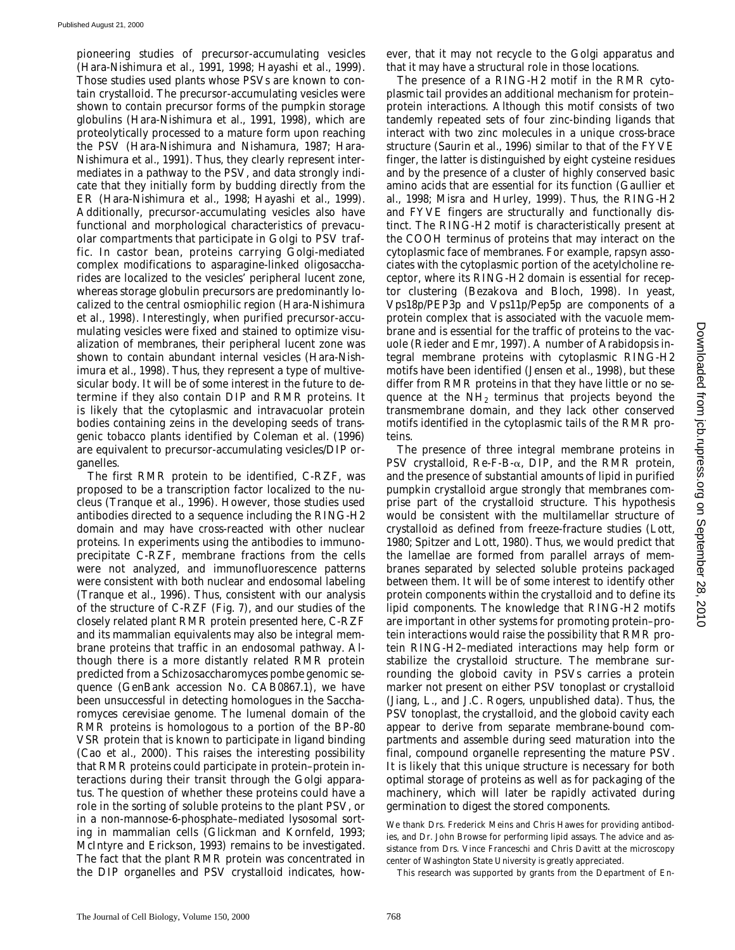pioneering studies of precursor-accumulating vesicles (Hara-Nishimura et al., 1991, 1998; Hayashi et al., 1999). Those studies used plants whose PSVs are known to contain crystalloid. The precursor-accumulating vesicles were shown to contain precursor forms of the pumpkin storage globulins (Hara-Nishimura et al., 1991, 1998), which are proteolytically processed to a mature form upon reaching the PSV (Hara-Nishimura and Nishamura, 1987; Hara-Nishimura et al., 1991). Thus, they clearly represent intermediates in a pathway to the PSV, and data strongly indicate that they initially form by budding directly from the ER (Hara-Nishimura et al., 1998; Hayashi et al., 1999). Additionally, precursor-accumulating vesicles also have functional and morphological characteristics of prevacuolar compartments that participate in Golgi to PSV traffic. In castor bean, proteins carrying Golgi-mediated complex modifications to asparagine-linked oligosaccharides are localized to the vesicles' peripheral lucent zone, whereas storage globulin precursors are predominantly localized to the central osmiophilic region (Hara-Nishimura et al., 1998). Interestingly, when purified precursor-accumulating vesicles were fixed and stained to optimize visualization of membranes, their peripheral lucent zone was shown to contain abundant internal vesicles (Hara-Nishimura et al., 1998). Thus, they represent a type of multivesicular body. It will be of some interest in the future to determine if they also contain DIP and RMR proteins. It is likely that the cytoplasmic and intravacuolar protein bodies containing zeins in the developing seeds of transgenic tobacco plants identified by Coleman et al. (1996) are equivalent to precursor-accumulating vesicles/DIP organelles.

The first RMR protein to be identified, C-RZF, was proposed to be a transcription factor localized to the nucleus (Tranque et al., 1996). However, those studies used antibodies directed to a sequence including the RING-H2 domain and may have cross-reacted with other nuclear proteins. In experiments using the antibodies to immunoprecipitate C-RZF, membrane fractions from the cells were not analyzed, and immunofluorescence patterns were consistent with both nuclear and endosomal labeling (Tranque et al., 1996). Thus, consistent with our analysis of the structure of C-RZF (Fig. 7), and our studies of the closely related plant RMR protein presented here, C-RZF and its mammalian equivalents may also be integral membrane proteins that traffic in an endosomal pathway. Although there is a more distantly related RMR protein predicted from a *Schizosaccharomyces pombe* genomic sequence (GenBank accession No. CAB0867.1), we have been unsuccessful in detecting homologues in the *Saccharomyces cerevisiae* genome. The lumenal domain of the RMR proteins is homologous to a portion of the BP-80 VSR protein that is known to participate in ligand binding (Cao et al., 2000). This raises the interesting possibility that RMR proteins could participate in protein–protein interactions during their transit through the Golgi apparatus. The question of whether these proteins could have a role in the sorting of soluble proteins to the plant PSV, or in a non-mannose-6-phosphate–mediated lysosomal sorting in mammalian cells (Glickman and Kornfeld, 1993; McIntyre and Erickson, 1993) remains to be investigated. The fact that the plant RMR protein was concentrated in the DIP organelles and PSV crystalloid indicates, however, that it may not recycle to the Golgi apparatus and that it may have a structural role in those locations.

The presence of a RING-H2 motif in the RMR cytoplasmic tail provides an additional mechanism for protein– protein interactions. Although this motif consists of two tandemly repeated sets of four zinc-binding ligands that interact with two zinc molecules in a unique cross-brace structure (Saurin et al., 1996) similar to that of the FYVE finger, the latter is distinguished by eight cysteine residues and by the presence of a cluster of highly conserved basic amino acids that are essential for its function (Gaullier et al., 1998; Misra and Hurley, 1999). Thus, the RING-H2 and FYVE fingers are structurally and functionally distinct. The RING-H2 motif is characteristically present at the COOH terminus of proteins that may interact on the cytoplasmic face of membranes. For example, rapsyn associates with the cytoplasmic portion of the acetylcholine receptor, where its RING-H2 domain is essential for receptor clustering (Bezakova and Bloch, 1998). In yeast, Vps18p/PEP3p and Vps11p/Pep5p are components of a protein complex that is associated with the vacuole membrane and is essential for the traffic of proteins to the vacuole (Rieder and Emr, 1997). A number of *Arabidopsis* integral membrane proteins with cytoplasmic RING-H2 motifs have been identified (Jensen et al., 1998), but these differ from RMR proteins in that they have little or no sequence at the NH<sub>2</sub> terminus that projects beyond the transmembrane domain, and they lack other conserved motifs identified in the cytoplasmic tails of the RMR proteins.

The presence of three integral membrane proteins in PSV crystalloid,  $\text{Re-F-B-}\alpha$ , DIP, and the RMR protein, and the presence of substantial amounts of lipid in purified pumpkin crystalloid argue strongly that membranes comprise part of the crystalloid structure. This hypothesis would be consistent with the multilamellar structure of crystalloid as defined from freeze-fracture studies (Lott, 1980; Spitzer and Lott, 1980). Thus, we would predict that the lamellae are formed from parallel arrays of membranes separated by selected soluble proteins packaged between them. It will be of some interest to identify other protein components within the crystalloid and to define its lipid components. The knowledge that RING-H2 motifs are important in other systems for promoting protein–protein interactions would raise the possibility that RMR protein RING-H2–mediated interactions may help form or stabilize the crystalloid structure. The membrane surrounding the globoid cavity in PSVs carries a protein marker not present on either PSV tonoplast or crystalloid (Jiang, L., and J.C. Rogers, unpublished data). Thus, the PSV tonoplast, the crystalloid, and the globoid cavity each appear to derive from separate membrane-bound compartments and assemble during seed maturation into the final, compound organelle representing the mature PSV. It is likely that this unique structure is necessary for both optimal storage of proteins as well as for packaging of the machinery, which will later be rapidly activated during germination to digest the stored components.

This research was supported by grants from the Department of En-

We thank Drs. Frederick Meins and Chris Hawes for providing antibodies, and Dr. John Browse for performing lipid assays. The advice and assistance from Drs. Vince Franceschi and Chris Davitt at the microscopy center of Washington State University is greatly appreciated.